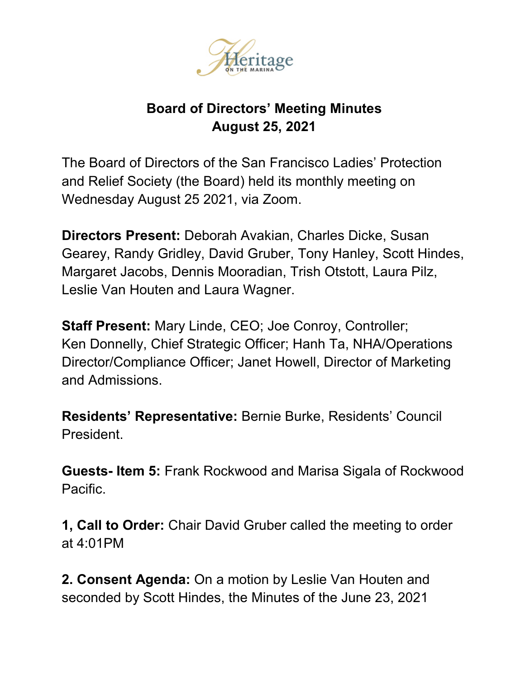

## **Board of Directors' Meeting Minutes August 25, 2021**

The Board of Directors of the San Francisco Ladies' Protection and Relief Society (the Board) held its monthly meeting on Wednesday August 25 2021, via Zoom.

**Directors Present:** Deborah Avakian, Charles Dicke, Susan Gearey, Randy Gridley, David Gruber, Tony Hanley, Scott Hindes, Margaret Jacobs, Dennis Mooradian, Trish Otstott, Laura Pilz, Leslie Van Houten and Laura Wagner.

**Staff Present:** Mary Linde, CEO; Joe Conroy, Controller; Ken Donnelly, Chief Strategic Officer; Hanh Ta, NHA/Operations Director/Compliance Officer; Janet Howell, Director of Marketing and Admissions.

**Residents' Representative:** Bernie Burke, Residents' Council **President** 

**Guests- Item 5:** Frank Rockwood and Marisa Sigala of Rockwood Pacific.

**1, Call to Order:** Chair David Gruber called the meeting to order at 4:01PM

**2. Consent Agenda:** On a motion by Leslie Van Houten and seconded by Scott Hindes, the Minutes of the June 23, 2021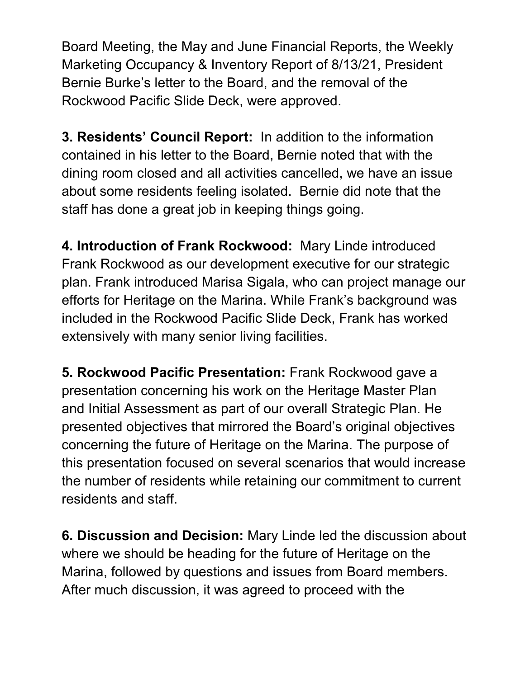Board Meeting, the May and June Financial Reports, the Weekly Marketing Occupancy & Inventory Report of 8/13/21, President Bernie Burke's letter to the Board, and the removal of the Rockwood Pacific Slide Deck, were approved.

**3. Residents' Council Report:** In addition to the information contained in his letter to the Board, Bernie noted that with the dining room closed and all activities cancelled, we have an issue about some residents feeling isolated. Bernie did note that the staff has done a great job in keeping things going.

**4. Introduction of Frank Rockwood:** Mary Linde introduced Frank Rockwood as our development executive for our strategic plan. Frank introduced Marisa Sigala, who can project manage our efforts for Heritage on the Marina. While Frank's background was included in the Rockwood Pacific Slide Deck, Frank has worked extensively with many senior living facilities.

**5. Rockwood Pacific Presentation:** Frank Rockwood gave a presentation concerning his work on the Heritage Master Plan and Initial Assessment as part of our overall Strategic Plan. He presented objectives that mirrored the Board's original objectives concerning the future of Heritage on the Marina. The purpose of this presentation focused on several scenarios that would increase the number of residents while retaining our commitment to current residents and staff.

**6. Discussion and Decision:** Mary Linde led the discussion about where we should be heading for the future of Heritage on the Marina, followed by questions and issues from Board members. After much discussion, it was agreed to proceed with the